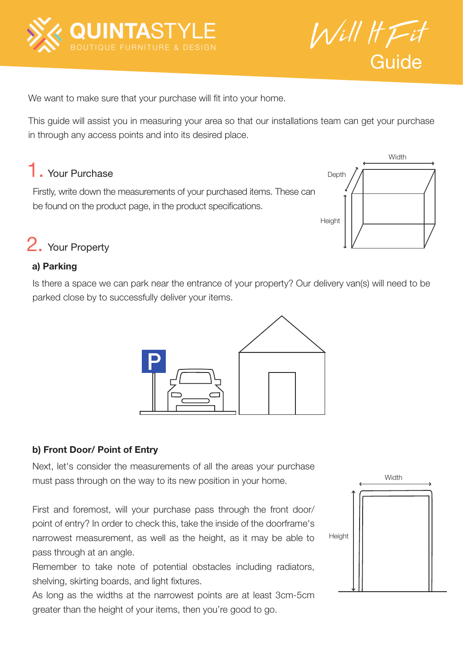



We want to make sure that your purchase will fit into your home.

This guide will assist you in measuring your area so that our installations team can get your purchase in through any access points and into its desired place.

# 1. Your Purchase

Firstly, write down the measurements of your purchased items. These can be found on the product page, in the product specifications.



## 2. Your Property

### a) Parking

Is there a space we can park near the entrance of your property? Our delivery van(s) will need to be parked close by to successfully deliver your items.



### b) Front Door/ Point of Entry

Next, let's consider the measurements of all the areas your purchase must pass through on the way to its new position in your home.

First and foremost, will your purchase pass through the front door/ point of entry? In order to check this, take the inside of the doorframe's narrowest measurement, as well as the height, as it may be able to pass through at an angle.

Remember to take note of potential obstacles including radiators, shelving, skirting boards, and light fixtures.

As long as the widths at the narrowest points are at least 3cm-5cm greater than the height of your items, then you're good to go.